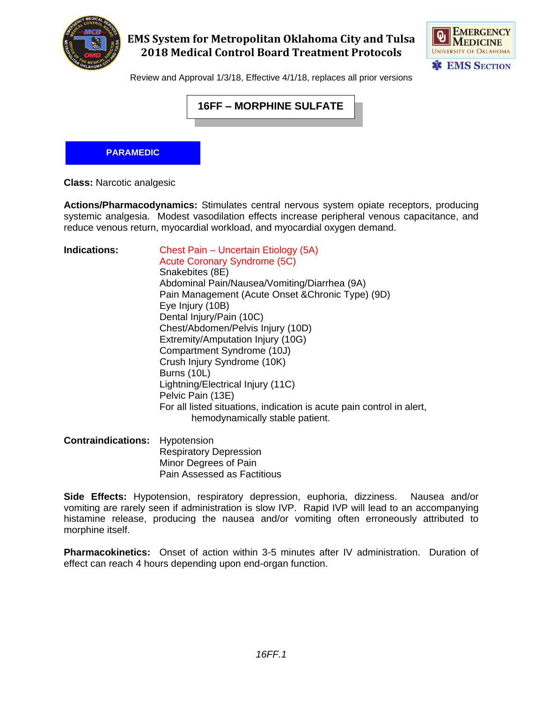

### **EMS System for Metropolitan Oklahoma City and Tulsa 2018 Medical Control Board Treatment Protocols**



Review and Approval 1/3/18, Effective 4/1/18, replaces all prior versions

# **16FF – MORPHINE SULFATE**

#### **PARAMEDIC**

**Class:** Narcotic analgesic

**Actions/Pharmacodynamics:** Stimulates central nervous system opiate receptors, producing systemic analgesia. Modest vasodilation effects increase peripheral venous capacitance, and reduce venous return, myocardial workload, and myocardial oxygen demand.

| <b>Indications:</b>                   | Chest Pain - Uncertain Etiology (5A)<br><b>Acute Coronary Syndrome (5C)</b><br>Snakebites (8E)<br>Abdominal Pain/Nausea/Vomiting/Diarrhea (9A)<br>Pain Management (Acute Onset & Chronic Type) (9D)<br>Eye Injury (10B)<br>Dental Injury/Pain (10C)<br>Chest/Abdomen/Pelvis Injury (10D)<br>Extremity/Amputation Injury (10G)<br>Compartment Syndrome (10J)<br>Crush Injury Syndrome (10K)<br>Burns (10L)<br>Lightning/Electrical Injury (11C)<br>Pelvic Pain (13E)<br>For all listed situations, indication is acute pain control in alert, |
|---------------------------------------|----------------------------------------------------------------------------------------------------------------------------------------------------------------------------------------------------------------------------------------------------------------------------------------------------------------------------------------------------------------------------------------------------------------------------------------------------------------------------------------------------------------------------------------------|
|                                       | hemodynamically stable patient.                                                                                                                                                                                                                                                                                                                                                                                                                                                                                                              |
| <b>Contraindications:</b> Hypotension | Recniratory Depression                                                                                                                                                                                                                                                                                                                                                                                                                                                                                                                       |

espiratory Depression Minor Degrees of Pain Pain Assessed as Factitious

**Side Effects:** Hypotension, respiratory depression, euphoria, dizziness. Nausea and/or vomiting are rarely seen if administration is slow IVP. Rapid IVP will lead to an accompanying histamine release, producing the nausea and/or vomiting often erroneously attributed to morphine itself.

**Pharmacokinetics:** Onset of action within 3-5 minutes after IV administration. Duration of effect can reach 4 hours depending upon end-organ function.